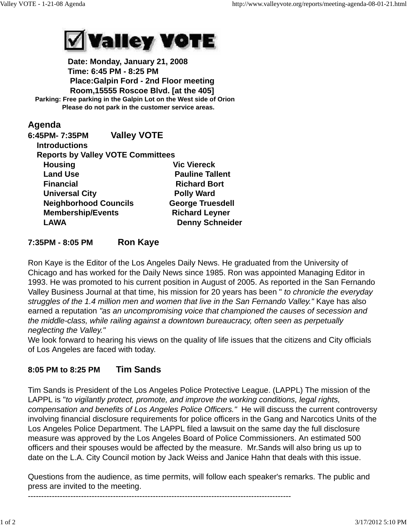

 **Date: Monday, January 21, 2008 Time: 6:45 PM - 8:25 PM Place:Galpin Ford - 2nd Floor meeting Room,15555 Roscoe Blvd. [at the 405] Parking: Free parking in the Galpin Lot on the West side of Orion Please do not park in the customer service areas.**

## **Agenda**

| 6:45PM- 7:35PM               | <b>Valley VOTE</b>                       |                         |
|------------------------------|------------------------------------------|-------------------------|
| <b>Introductions</b>         |                                          |                         |
|                              | <b>Reports by Valley VOTE Committees</b> |                         |
| <b>Housing</b>               |                                          | <b>Vic Viereck</b>      |
| <b>Land Use</b>              |                                          | <b>Pauline Tallent</b>  |
| <b>Financial</b>             |                                          | <b>Richard Bort</b>     |
| <b>Universal City</b>        |                                          | <b>Polly Ward</b>       |
| <b>Neighborhood Councils</b> |                                          | <b>George Truesdell</b> |
| <b>Membership/Events</b>     |                                          | <b>Richard Leyner</b>   |
| <b>LAWA</b>                  |                                          | <b>Denny Schneider</b>  |
|                              |                                          |                         |

## **7:35PM - 8:05 PM Ron Kaye**

Ron Kaye is the Editor of the Los Angeles Daily News. He graduated from the University of Chicago and has worked for the Daily News since 1985. Ron was appointed Managing Editor in 1993. He was promoted to his current position in August of 2005. As reported in the San Fernando Valley Business Journal at that time, his mission for 20 years has been " *to chronicle the everyday struggles of the 1.4 million men and women that live in the San Fernando Valley."* Kaye has also earned a reputation *"as an uncompromising voice that championed the causes of secession and the middle-class, while railing against a downtown bureaucracy, often seen as perpetually neglecting the Valley."*

We look forward to hearing his views on the quality of life issues that the citizens and City officials of Los Angeles are faced with today.

## **8:05 PM to 8:25 PM Tim Sands**

Tim Sands is President of the Los Angeles Police Protective League. (LAPPL) The mission of the LAPPL is "*to vigilantly protect, promote, and improve the working conditions, legal rights, compensation and benefits of Los Angeles Police Officers."* He will discuss the current controversy involving financial disclosure requirements for police officers in the Gang and Narcotics Units of the Los Angeles Police Department. The LAPPL filed a lawsuit on the same day the full disclosure measure was approved by the Los Angeles Board of Police Commissioners. An estimated 500 officers and their spouses would be affected by the measure. Mr.Sands will also bring us up to date on the L.A. City Council motion by Jack Weiss and Janice Hahn that deals with this issue.

Questions from the audience, as time permits, will follow each speaker's remarks. The public and press are invited to the meeting.

---------------------------------------------------------------------------------------------------